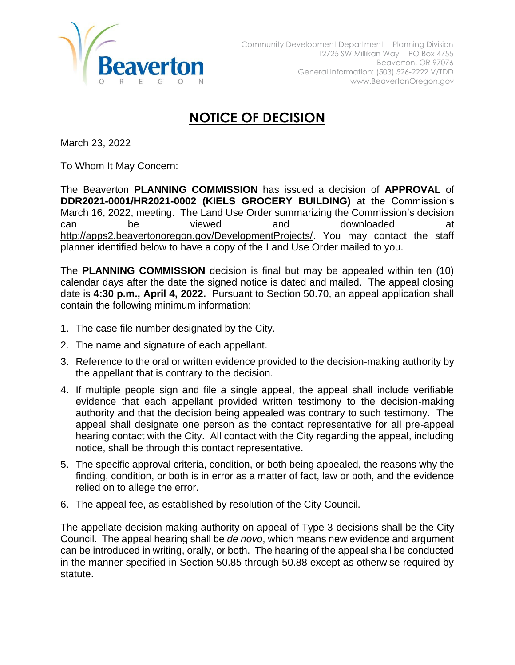

## **NOTICE OF DECISION**

March 23, 2022

To Whom It May Concern:

The Beaverton **PLANNING COMMISSION** has issued a decision of **APPROVAL** of **DDR2021-0001/HR2021-0002 (KIELS GROCERY BUILDING)** at the Commission's March 16, 2022, meeting. The Land Use Order summarizing the Commission's decision can be viewed and downloaded at [http://apps2.beavertonoregon.gov/DevelopmentProjects/.](http://apps2.beavertonoregon.gov/DevelopmentProjects/) You may contact the staff planner identified below to have a copy of the Land Use Order mailed to you.

The **PLANNING COMMISSION** decision is final but may be appealed within ten (10) calendar days after the date the signed notice is dated and mailed. The appeal closing date is **4:30 p.m., April 4, 2022.** Pursuant to Section 50.70, an appeal application shall contain the following minimum information:

- 1. The case file number designated by the City.
- 2. The name and signature of each appellant.
- 3. Reference to the oral or written evidence provided to the decision-making authority by the appellant that is contrary to the decision.
- 4. If multiple people sign and file a single appeal, the appeal shall include verifiable evidence that each appellant provided written testimony to the decision-making authority and that the decision being appealed was contrary to such testimony. The appeal shall designate one person as the contact representative for all pre-appeal hearing contact with the City. All contact with the City regarding the appeal, including notice, shall be through this contact representative.
- 5. The specific approval criteria, condition, or both being appealed, the reasons why the finding, condition, or both is in error as a matter of fact, law or both, and the evidence relied on to allege the error.
- 6. The appeal fee, as established by resolution of the City Council.

The appellate decision making authority on appeal of Type 3 decisions shall be the City Council. The appeal hearing shall be *de novo*, which means new evidence and argument can be introduced in writing, orally, or both. The hearing of the appeal shall be conducted in the manner specified in Section 50.85 through 50.88 except as otherwise required by statute.